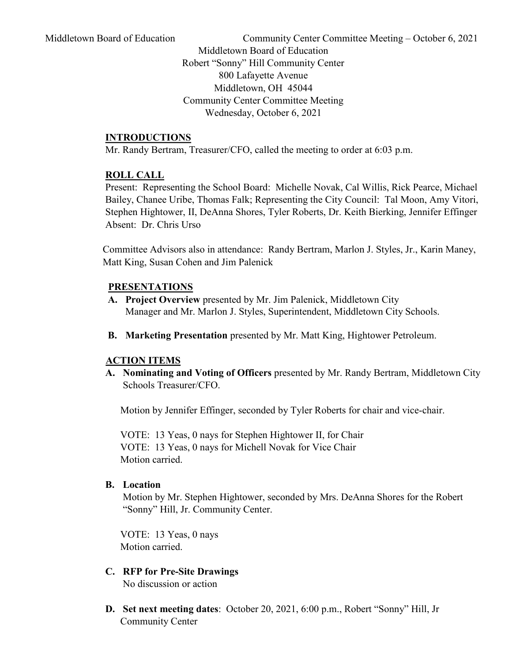Middletown Board of Education Community Center Committee Meeting – October 6, 2021

Middletown Board of Education Robert "Sonny" Hill Community Center 800 Lafayette Avenue Middletown, OH 45044 Community Center Committee Meeting Wednesday, October 6, 2021

## **INTRODUCTIONS**

Mr. Randy Bertram, Treasurer/CFO, called the meeting to order at 6:03 p.m.

#### **ROLL CALL**

 Present: Representing the School Board: Michelle Novak, Cal Willis, Rick Pearce, Michael Bailey, Chanee Uribe, Thomas Falk; Representing the City Council: Tal Moon, Amy Vitori, Stephen Hightower, II, DeAnna Shores, Tyler Roberts, Dr. Keith Bierking, Jennifer Effinger Absent: Dr. Chris Urso

 Committee Advisors also in attendance: Randy Bertram, Marlon J. Styles, Jr., Karin Maney, Matt King, Susan Cohen and Jim Palenick

## **PRESENTATIONS**

- **A. Project Overview** presented by Mr. Jim Palenick, Middletown City Manager and Mr. Marlon J. Styles, Superintendent, Middletown City Schools.
- **B. Marketing Presentation** presented by Mr. Matt King, Hightower Petroleum.

## **ACTION ITEMS**

**A. Nominating and Voting of Officers** presented by Mr. Randy Bertram, Middletown City Schools Treasurer/CFO.

Motion by Jennifer Effinger, seconded by Tyler Roberts for chair and vice-chair.

VOTE: 13 Yeas, 0 nays for Stephen Hightower II, for Chair VOTE: 13 Yeas, 0 nays for Michell Novak for Vice Chair Motion carried.

#### **B. Location**

Motion by Mr. Stephen Hightower, seconded by Mrs. DeAnna Shores for the Robert "Sonny" Hill, Jr. Community Center.

VOTE: 13 Yeas, 0 nays Motion carried.

- **C. RFP for Pre-Site Drawings** No discussion or action
- **D. Set next meeting dates**: October 20, 2021, 6:00 p.m., Robert "Sonny" Hill, Jr Community Center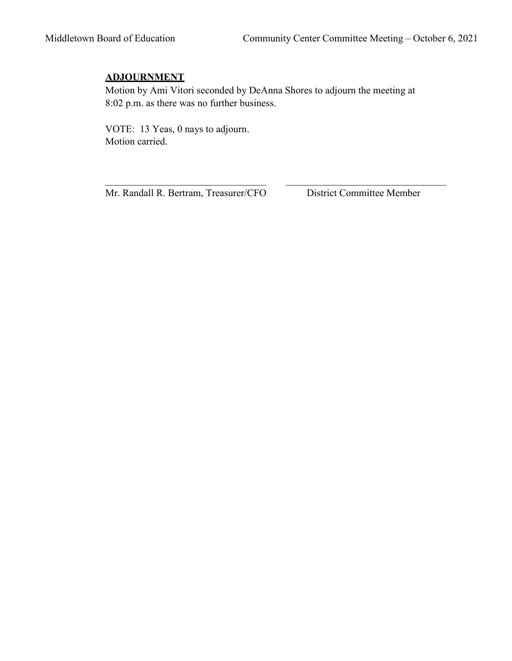# **ADJOURNMENT**

Motion by Ami Vitori seconded by DeAnna Shores to adjourn the meeting at 8:02 p.m. as there was no further business.

 VOTE: 13 Yeas, 0 nays to adjourn. Motion carried.

Mr. Randall R. Bertram, Treasurer/CFO District Committee Member